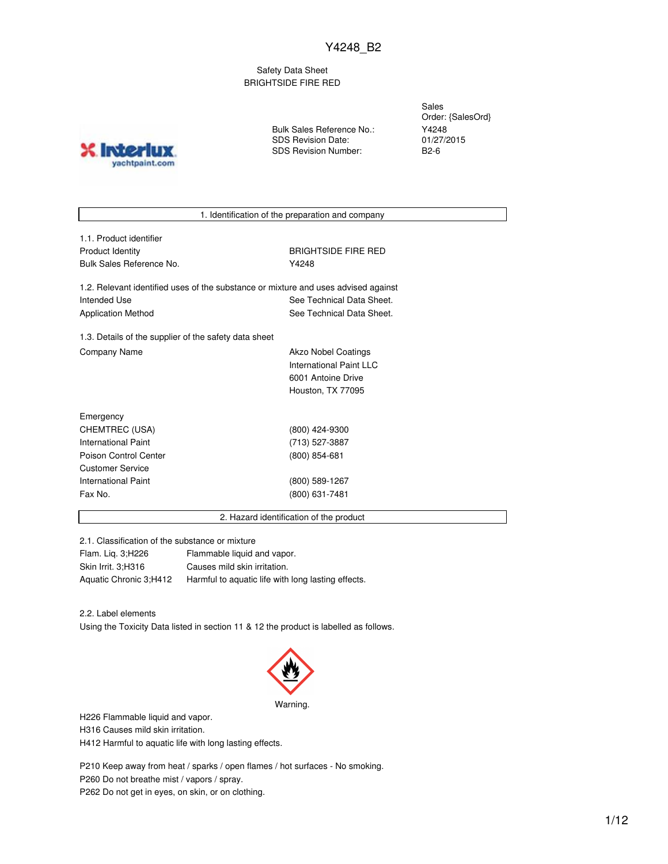Safety Data Sheet BRIGHTSIDE FIRE RED

**Inter** yachtpaint.com Bulk Sales Reference No.: SDS Revision Date: SDS Revision Number:

Sales Order: {SalesOrd} Y4248 01/27/2015 B2-6

1. Identification of the preparation and company

1.1. Product identifier Product Identity **BRIGHTSIDE FIRE RED** Bulk Sales Reference No. **Y4248** 

1.2. Relevant identified uses of the substance or mixture and uses advised against Intended Use **See Technical Data Sheet.** See Technical Data Sheet. Application Method See Technical Data Sheet.

1.3. Details of the supplier of the safety data sheet Company Name **Akzo Nobel Coatings** Company Name

International Paint LLC 6001 Antoine Drive Houston, TX 77095

| Emergency             |                 |  |
|-----------------------|-----------------|--|
| CHEMTREC (USA)        | (800) 424-9300  |  |
| International Paint   | (713) 527-3887  |  |
| Poison Control Center | $(800)$ 854-681 |  |
| Customer Service      |                 |  |
| International Paint   | (800) 589-1267  |  |
| Fax No.               | (800) 631-7481  |  |
|                       |                 |  |

2. Hazard identification of the product

2.1. Classification of the substance or mixture

Flam. Liq. 3;H226 Flammable liquid and vapor. Skin Irrit. 3;H316 Causes mild skin irritation. Aquatic Chronic 3;H412 Harmful to aquatic life with long lasting effects.

2.2. Label elements

Using the Toxicity Data listed in section 11 & 12 the product is labelled as follows.



H226 Flammable liquid and vapor.

H316 Causes mild skin irritation.

H412 Harmful to aquatic life with long lasting effects.

P210 Keep away from heat / sparks / open flames / hot surfaces - No smoking. P260 Do not breathe mist / vapors / spray. P262 Do not get in eyes, on skin, or on clothing.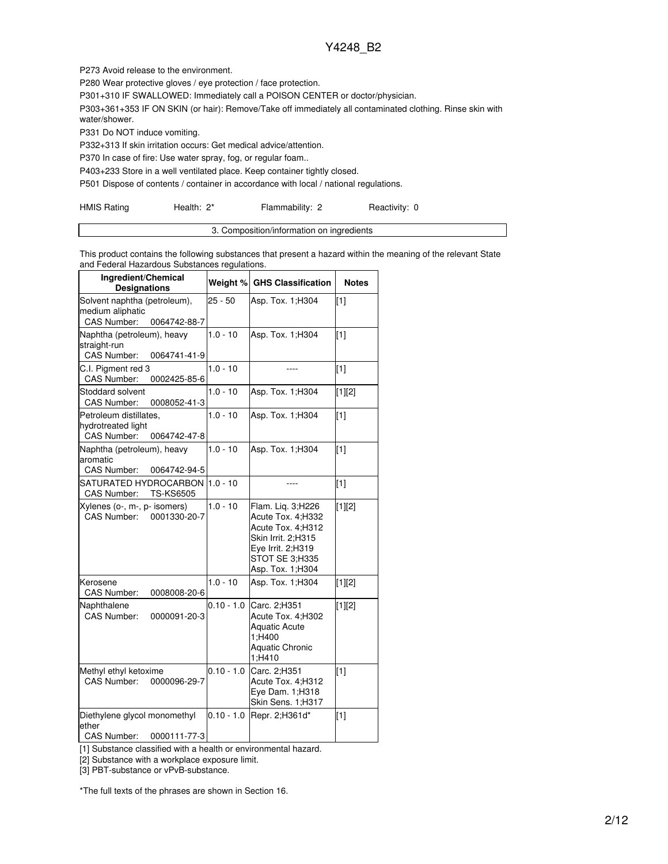P273 Avoid release to the environment.

P280 Wear protective gloves / eye protection / face protection.

P301+310 IF SWALLOWED: Immediately call a POISON CENTER or doctor/physician.

P303+361+353 IF ON SKIN (or hair): Remove/Take off immediately all contaminated clothing. Rinse skin with water/shower.

P331 Do NOT induce vomiting.

P332+313 If skin irritation occurs: Get medical advice/attention.

P370 In case of fire: Use water spray, fog, or regular foam..

P403+233 Store in a well ventilated place. Keep container tightly closed.

P501 Dispose of contents / container in accordance with local / national regulations.

| <b>HMIS Rating</b> | Health: 2* | Flammability: 2 | Reactivity: 0 |
|--------------------|------------|-----------------|---------------|
|--------------------|------------|-----------------|---------------|

| omposition/information on ingredients |
|---------------------------------------|
|                                       |

This product contains the following substances that present a hazard within the meaning of the relevant State and Federal Hazardous Substances regulations.

| Ingredient/Chemical<br><b>Designations</b>                                         |              | Weight % GHS Classification                                                                                                                    | <b>Notes</b>      |
|------------------------------------------------------------------------------------|--------------|------------------------------------------------------------------------------------------------------------------------------------------------|-------------------|
| Solvent naphtha (petroleum),<br>medium aliphatic<br>CAS Number:<br>0064742-88-7    | $25 - 50$    | Asp. Tox. 1; H304                                                                                                                              | $[1]$             |
| Naphtha (petroleum), heavy<br>straight-run<br><b>CAS Number:</b><br>0064741-41-9   | $1.0 - 10$   | Asp. Tox. 1:H304                                                                                                                               | [1]               |
| C.I. Pigment red 3<br>CAS Number:<br>0002425-85-6                                  | $1.0 - 10$   |                                                                                                                                                | $[1]$             |
| Stoddard solvent<br><b>CAS Number:</b><br>0008052-41-3                             | $1.0 - 10$   | Asp. Tox. 1; H304                                                                                                                              | [1][2]            |
| Petroleum distillates,<br>hydrotreated light<br><b>CAS Number:</b><br>0064742-47-8 | $1.0 - 10$   | Asp. Tox. 1; H304                                                                                                                              | $[1]$             |
| Naphtha (petroleum), heavy<br>aromatic<br><b>CAS Number:</b><br>0064742-94-5       | $1.0 - 10$   | Asp. Tox. 1:H304                                                                                                                               | $\lceil 1 \rceil$ |
| SATURATED HYDROCARBON<br><b>CAS Number:</b><br><b>TS-KS6505</b>                    | $1.0 - 10$   | ----                                                                                                                                           | $[1]$             |
| Xylenes (o-, m-, p- isomers)<br><b>CAS Number:</b><br>0001330-20-7                 | $1.0 - 10$   | Flam. Lig. 3;H226<br>Acute Tox. 4: H332<br>Acute Tox. 4:H312<br>Skin Irrit. 2:H315<br>Eye Irrit. 2;H319<br>STOT SE 3;H335<br>Asp. Tox. 1; H304 | $[1][2]$          |
| Kerosene<br>CAS Number:<br>0008008-20-6                                            | $1.0 - 10$   | Asp. Tox. 1; H304                                                                                                                              | $[1][2]$          |
| Naphthalene<br>CAS Number:<br>0000091-20-3                                         | $0.10 - 1.0$ | Carc. 2:H351<br>Acute Tox. 4:H302<br><b>Aquatic Acute</b><br>1:H400<br><b>Aquatic Chronic</b><br>1;H410                                        | $[1][2]$          |
| Methyl ethyl ketoxime<br>CAS Number:<br>0000096-29-7                               | $0.10 - 1.0$ | Carc. 2:H351<br>Acute Tox. 4:H312<br>Eye Dam. 1;H318<br>Skin Sens. 1;H317                                                                      | [1]               |
| Diethylene glycol monomethyl<br>ether<br><b>CAS Number:</b><br>0000111-77-3        | $0.10 - 1.0$ | Repr. 2; H361d*                                                                                                                                | $[1]$             |

[1] Substance classified with a health or environmental hazard.

[2] Substance with a workplace exposure limit.

[3] PBT-substance or vPvB-substance.

\*The full texts of the phrases are shown in Section 16.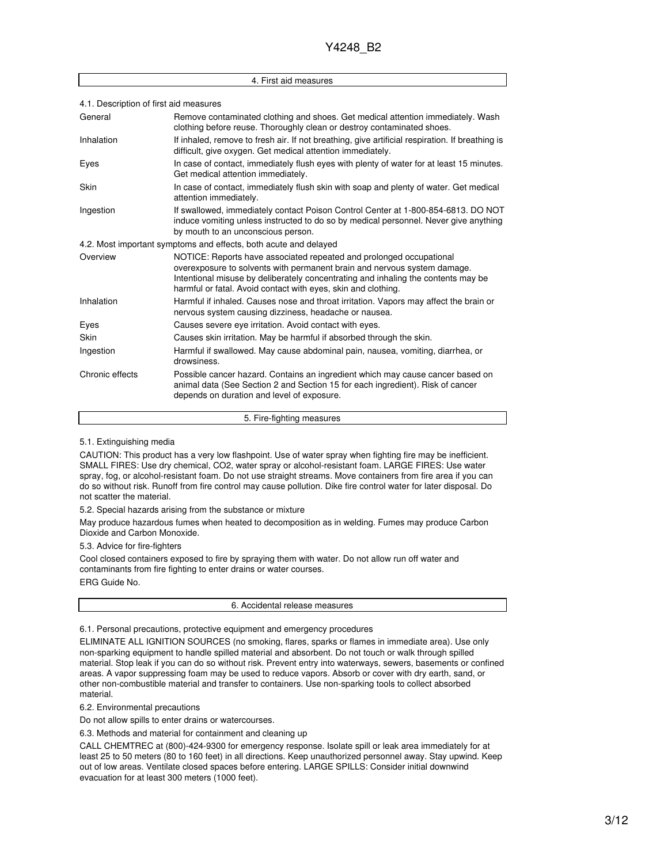|                                        | 4. First aid measures                                                                                                                                                                                                                                                                                 |  |  |  |  |
|----------------------------------------|-------------------------------------------------------------------------------------------------------------------------------------------------------------------------------------------------------------------------------------------------------------------------------------------------------|--|--|--|--|
| 4.1. Description of first aid measures |                                                                                                                                                                                                                                                                                                       |  |  |  |  |
| General                                | Remove contaminated clothing and shoes. Get medical attention immediately. Wash<br>clothing before reuse. Thoroughly clean or destroy contaminated shoes.                                                                                                                                             |  |  |  |  |
| Inhalation                             | If inhaled, remove to fresh air. If not breathing, give artificial respiration. If breathing is<br>difficult, give oxygen. Get medical attention immediately.                                                                                                                                         |  |  |  |  |
| Eyes                                   | In case of contact, immediately flush eyes with plenty of water for at least 15 minutes.<br>Get medical attention immediately.                                                                                                                                                                        |  |  |  |  |
| Skin                                   | In case of contact, immediately flush skin with soap and plenty of water. Get medical<br>attention immediately.                                                                                                                                                                                       |  |  |  |  |
| Ingestion                              | If swallowed, immediately contact Poison Control Center at 1-800-854-6813. DO NOT<br>induce vomiting unless instructed to do so by medical personnel. Never give anything<br>by mouth to an unconscious person.                                                                                       |  |  |  |  |
|                                        | 4.2. Most important symptoms and effects, both acute and delayed                                                                                                                                                                                                                                      |  |  |  |  |
| Overview                               | NOTICE: Reports have associated repeated and prolonged occupational<br>overexposure to solvents with permanent brain and nervous system damage.<br>Intentional misuse by deliberately concentrating and inhaling the contents may be<br>harmful or fatal. Avoid contact with eyes, skin and clothing. |  |  |  |  |
| Inhalation                             | Harmful if inhaled. Causes nose and throat irritation. Vapors may affect the brain or<br>nervous system causing dizziness, headache or nausea.                                                                                                                                                        |  |  |  |  |
| Eyes                                   | Causes severe eve irritation. Avoid contact with eyes.                                                                                                                                                                                                                                                |  |  |  |  |
| Skin                                   | Causes skin irritation. May be harmful if absorbed through the skin.                                                                                                                                                                                                                                  |  |  |  |  |
| Ingestion                              | Harmful if swallowed. May cause abdominal pain, nausea, vomiting, diarrhea, or<br>drowsiness.                                                                                                                                                                                                         |  |  |  |  |
| Chronic effects                        | Possible cancer hazard. Contains an ingredient which may cause cancer based on<br>animal data (See Section 2 and Section 15 for each ingredient). Risk of cancer<br>depends on duration and level of exposure.                                                                                        |  |  |  |  |

5. Fire-fighting measures

#### 5.1. Extinguishing media

CAUTION: This product has a very low flashpoint. Use of water spray when fighting fire may be inefficient. SMALL FIRES: Use dry chemical, CO2, water spray or alcohol-resistant foam. LARGE FIRES: Use water spray, fog, or alcohol-resistant foam. Do not use straight streams. Move containers from fire area if you can do so without risk. Runoff from fire control may cause pollution. Dike fire control water for later disposal. Do not scatter the material.

5.2. Special hazards arising from the substance or mixture

May produce hazardous fumes when heated to decomposition as in welding. Fumes may produce Carbon Dioxide and Carbon Monoxide.

5.3. Advice for fire-fighters

Cool closed containers exposed to fire by spraying them with water. Do not allow run off water and contaminants from fire fighting to enter drains or water courses. ERG Guide No.

6. Accidental release measures

6.1. Personal precautions, protective equipment and emergency procedures

ELIMINATE ALL IGNITION SOURCES (no smoking, flares, sparks or flames in immediate area). Use only non-sparking equipment to handle spilled material and absorbent. Do not touch or walk through spilled material. Stop leak if you can do so without risk. Prevent entry into waterways, sewers, basements or confined areas. A vapor suppressing foam may be used to reduce vapors. Absorb or cover with dry earth, sand, or other non-combustible material and transfer to containers. Use non-sparking tools to collect absorbed material.

6.2. Environmental precautions

Do not allow spills to enter drains or watercourses.

6.3. Methods and material for containment and cleaning up

CALL CHEMTREC at (800)-424-9300 for emergency response. Isolate spill or leak area immediately for at least 25 to 50 meters (80 to 160 feet) in all directions. Keep unauthorized personnel away. Stay upwind. Keep out of low areas. Ventilate closed spaces before entering. LARGE SPILLS: Consider initial downwind evacuation for at least 300 meters (1000 feet).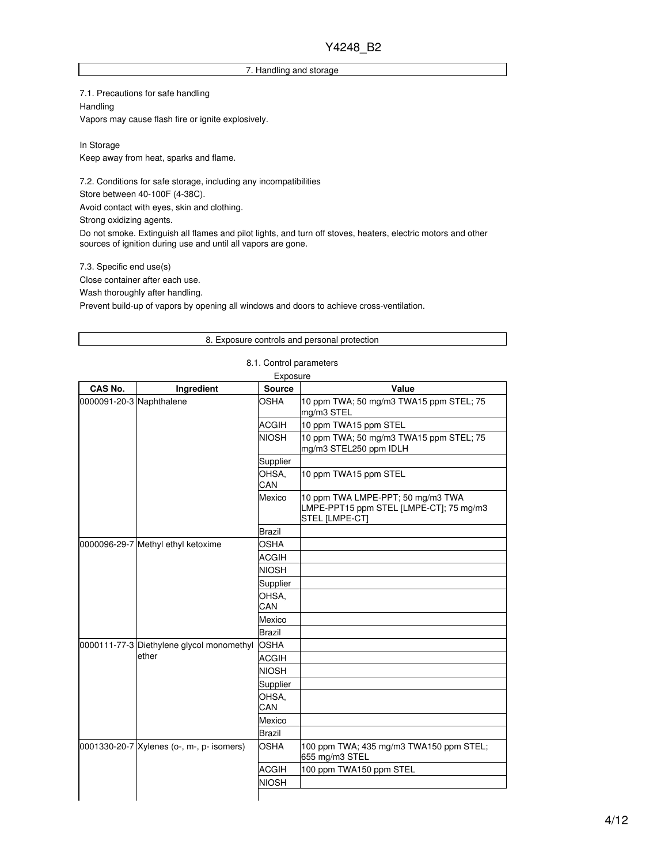### 7. Handling and storage

7.1. Precautions for safe handling Handling Vapors may cause flash fire or ignite explosively.

In Storage Keep away from heat, sparks and flame.

7.2. Conditions for safe storage, including any incompatibilities Store between 40-100F (4-38C).

Avoid contact with eyes, skin and clothing.

Strong oxidizing agents.

Do not smoke. Extinguish all flames and pilot lights, and turn off stoves, heaters, electric motors and other sources of ignition during use and until all vapors are gone.

7.3. Specific end use(s)

Close container after each use.

Wash thoroughly after handling.

Prevent build-up of vapors by opening all windows and doors to achieve cross-ventilation.

### 8. Exposure controls and personal protection

|                          |                                           | Exposure      |                                                                                                |
|--------------------------|-------------------------------------------|---------------|------------------------------------------------------------------------------------------------|
| CAS No.                  | Ingredient                                | <b>Source</b> | Value                                                                                          |
| 0000091-20-3 Naphthalene |                                           | OSHA          | 10 ppm TWA; 50 mg/m3 TWA15 ppm STEL; 75<br>mg/m3 STEL                                          |
|                          |                                           | <b>ACGIH</b>  | 10 ppm TWA15 ppm STEL                                                                          |
|                          |                                           | <b>NIOSH</b>  | 10 ppm TWA; 50 mg/m3 TWA15 ppm STEL; 75<br>mg/m3 STEL250 ppm IDLH                              |
|                          |                                           | Supplier      |                                                                                                |
|                          |                                           | OHSA.<br>CAN  | 10 ppm TWA15 ppm STEL                                                                          |
|                          |                                           | Mexico        | 10 ppm TWA LMPE-PPT; 50 mg/m3 TWA<br>LMPE-PPT15 ppm STEL [LMPE-CT]; 75 mg/m3<br>STEL [LMPE-CT] |
|                          |                                           | <b>Brazil</b> |                                                                                                |
|                          | 0000096-29-7 Methyl ethyl ketoxime        | OSHA          |                                                                                                |
|                          |                                           | <b>ACGIH</b>  |                                                                                                |
|                          |                                           | <b>NIOSH</b>  |                                                                                                |
|                          |                                           | Supplier      |                                                                                                |
|                          |                                           | OHSA,<br>CAN  |                                                                                                |
|                          |                                           | Mexico        |                                                                                                |
|                          |                                           | <b>Brazil</b> |                                                                                                |
|                          | 0000111-77-3 Diethylene glycol monomethyl | <b>OSHA</b>   |                                                                                                |
|                          | ether                                     | <b>ACGIH</b>  |                                                                                                |
|                          |                                           | <b>NIOSH</b>  |                                                                                                |
|                          |                                           | Supplier      |                                                                                                |
|                          |                                           | OHSA,<br>CAN  |                                                                                                |
|                          |                                           | Mexico        |                                                                                                |
|                          |                                           | <b>Brazil</b> |                                                                                                |
|                          | 0001330-20-7 Xylenes (o-, m-, p- isomers) | <b>OSHA</b>   | 100 ppm TWA; 435 mg/m3 TWA150 ppm STEL;<br>655 mg/m3 STEL                                      |
|                          |                                           | <b>ACGIH</b>  | 100 ppm TWA150 ppm STEL                                                                        |
|                          |                                           | <b>NIOSH</b>  |                                                                                                |
|                          |                                           |               |                                                                                                |

#### 8.1. Control parameters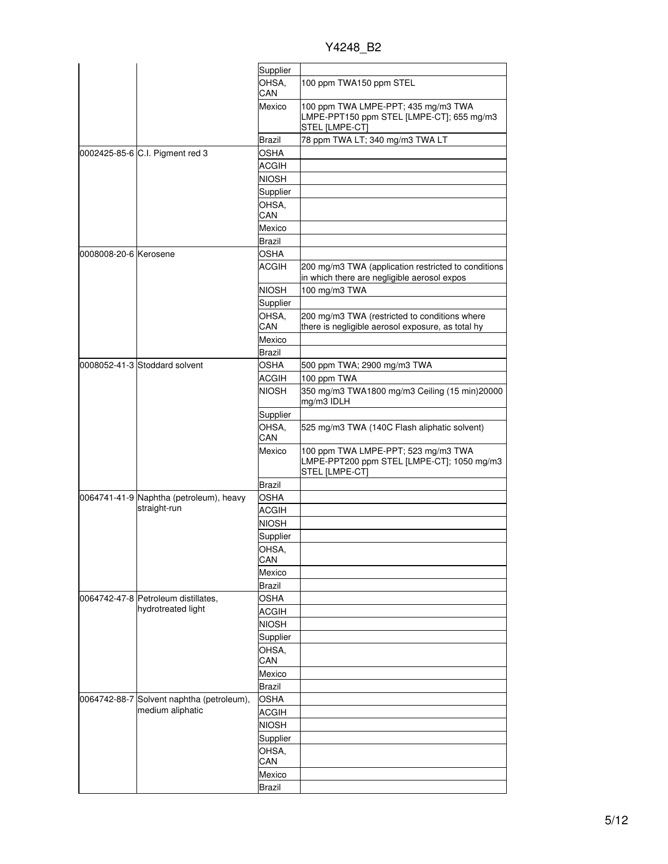Y4248\_B2

|                       |                                           | Supplier      |                                                                                                     |
|-----------------------|-------------------------------------------|---------------|-----------------------------------------------------------------------------------------------------|
|                       |                                           | OHSA,<br>CAN  | 100 ppm TWA150 ppm STEL                                                                             |
|                       |                                           | Mexico        | 100 ppm TWA LMPE-PPT; 435 mg/m3 TWA<br>LMPE-PPT150 ppm STEL [LMPE-CT]; 655 mg/m3<br>STEL [LMPE-CT]  |
|                       |                                           | Brazil        | 78 ppm TWA LT; 340 mg/m3 TWA LT                                                                     |
|                       | 0002425-85-6 C.I. Pigment red 3           | OSHA          |                                                                                                     |
|                       |                                           | <b>ACGIH</b>  |                                                                                                     |
|                       |                                           | <b>NIOSH</b>  |                                                                                                     |
|                       |                                           | Supplier      |                                                                                                     |
|                       |                                           | OHSA,         |                                                                                                     |
|                       |                                           | CAN           |                                                                                                     |
|                       |                                           | Mexico        |                                                                                                     |
|                       |                                           | Brazil        |                                                                                                     |
| 0008008-20-6 Kerosene |                                           | <b>OSHA</b>   |                                                                                                     |
|                       |                                           | ACGIH         | 200 mg/m3 TWA (application restricted to conditions<br>in which there are negligible aerosol expos  |
|                       |                                           | <b>NIOSH</b>  | 100 mg/m3 TWA                                                                                       |
|                       |                                           | Supplier      |                                                                                                     |
|                       |                                           | OHSA,         | 200 mg/m3 TWA (restricted to conditions where                                                       |
|                       |                                           | CAN           | there is negligible aerosol exposure, as total hy                                                   |
|                       |                                           | Mexico        |                                                                                                     |
|                       |                                           | Brazil        |                                                                                                     |
|                       | 0008052-41-3 Stoddard solvent             | OSHA          | 500 ppm TWA; 2900 mg/m3 TWA                                                                         |
|                       |                                           | ACGIH         | 100 ppm TWA                                                                                         |
|                       |                                           | <b>NIOSH</b>  | 350 mg/m3 TWA1800 mg/m3 Ceiling (15 min)20000<br>mg/m3 IDLH                                         |
|                       |                                           | Supplier      |                                                                                                     |
|                       |                                           | OHSA,<br>CAN  | 525 mg/m3 TWA (140C Flash aliphatic solvent)                                                        |
|                       |                                           | Mexico        | 100 ppm TWA LMPE-PPT; 523 mg/m3 TWA<br>LMPE-PPT200 ppm STEL [LMPE-CT]; 1050 mg/m3<br>STEL [LMPE-CT] |
|                       |                                           | <b>Brazil</b> |                                                                                                     |
|                       | 0064741-41-9 Naphtha (petroleum), heavy   | OSHA          |                                                                                                     |
|                       | straight-run                              | <b>ACGIH</b>  |                                                                                                     |
|                       |                                           | <b>NIOSH</b>  |                                                                                                     |
|                       |                                           | Supplier      |                                                                                                     |
|                       |                                           | OHSA,         |                                                                                                     |
|                       |                                           | CAN           |                                                                                                     |
|                       |                                           | Mexico        |                                                                                                     |
|                       |                                           | Brazil        |                                                                                                     |
|                       | 0064742-47-8 Petroleum distillates,       | <b>OSHA</b>   |                                                                                                     |
|                       | hydrotreated light                        | <b>ACGIH</b>  |                                                                                                     |
|                       |                                           | <b>NIOSH</b>  |                                                                                                     |
|                       |                                           | Supplier      |                                                                                                     |
|                       |                                           | OHSA,         |                                                                                                     |
|                       |                                           | CAN           |                                                                                                     |
|                       |                                           | Mexico        |                                                                                                     |
|                       |                                           | <b>Brazil</b> |                                                                                                     |
|                       | 0064742-88-7 Solvent naphtha (petroleum), | <b>OSHA</b>   |                                                                                                     |
|                       | medium aliphatic                          | <b>ACGIH</b>  |                                                                                                     |
|                       |                                           | <b>NIOSH</b>  |                                                                                                     |
|                       |                                           | Supplier      |                                                                                                     |
|                       |                                           | OHSA,         |                                                                                                     |
|                       |                                           | CAN           |                                                                                                     |
|                       |                                           | Mexico        |                                                                                                     |
|                       |                                           | <b>Brazil</b> |                                                                                                     |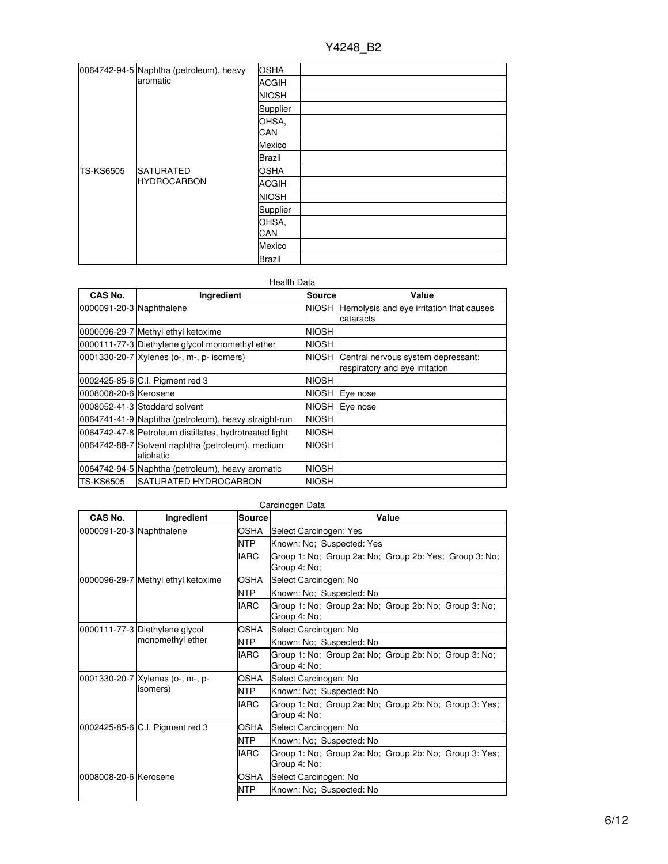|                  | 0064742-94-5 Naphtha (petroleum), heavy<br>aromatic | <b>OSHA</b>         |  |
|------------------|-----------------------------------------------------|---------------------|--|
|                  |                                                     | <b>ACGIH</b>        |  |
|                  |                                                     | <b>NIOSH</b>        |  |
|                  |                                                     | Supplier            |  |
|                  |                                                     | OHSA.<br><b>CAN</b> |  |
|                  |                                                     | Mexico              |  |
|                  |                                                     | <b>Brazil</b>       |  |
| <b>TS-KS6505</b> | <b>SATURATED</b><br><b>HYDROCARBON</b>              | <b>OSHA</b>         |  |
|                  |                                                     | <b>ACGIH</b>        |  |
|                  |                                                     | <b>NIOSH</b>        |  |
|                  |                                                     | Supplier            |  |
|                  |                                                     | OHSA,<br>CAN        |  |
|                  |                                                     | Mexico              |  |
|                  |                                                     | <b>Brazil</b>       |  |

### Health Data

| CAS No.                  | Ingredient                                                    | <b>Source</b> | Value                                    |
|--------------------------|---------------------------------------------------------------|---------------|------------------------------------------|
| 0000091-20-3 Naphthalene |                                                               | <b>NIOSH</b>  | Hemolysis and eye irritation that causes |
|                          |                                                               |               | cataracts                                |
|                          | 0000096-29-7 Methyl ethyl ketoxime                            | <b>NIOSH</b>  |                                          |
|                          | 0000111-77-3 Diethylene glycol monomethyl ether               | <b>NIOSH</b>  |                                          |
|                          | 0001330-20-7 Xylenes (o-, m-, p- isomers)                     | NIOSH         | Central nervous system depressant;       |
|                          |                                                               |               | respiratory and eye irritation           |
|                          | 0002425-85-6 C.I. Pigment red 3                               | <b>NIOSH</b>  |                                          |
| 0008008-20-6 Kerosene    |                                                               | <b>NIOSH</b>  | Eye nose                                 |
|                          | 0008052-41-3 Stoddard solvent                                 | <b>NIOSH</b>  | Eye nose                                 |
|                          | 0064741-41-9 Naphtha (petroleum), heavy straight-run          | <b>NIOSH</b>  |                                          |
|                          | 0064742-47-8 Petroleum distillates, hydrotreated light        | <b>NIOSH</b>  |                                          |
|                          | 0064742-88-7 Solvent naphtha (petroleum), medium<br>aliphatic | <b>NIOSH</b>  |                                          |
|                          | 0064742-94-5 Naphtha (petroleum), heavy aromatic              | <b>NIOSH</b>  |                                          |
| <b>TS-KS6505</b>         | <b>ISATURATED HYDROCARBON</b>                                 | NIOSH         |                                          |

## Carcinogen Data

| CAS No.                  | Ingredient                                                   | <b>Source</b> | Value                                                                  |  |
|--------------------------|--------------------------------------------------------------|---------------|------------------------------------------------------------------------|--|
| 0000091-20-3 Naphthalene |                                                              | OSHA          | Select Carcinogen: Yes                                                 |  |
|                          |                                                              | <b>NTP</b>    | Known: No; Suspected: Yes                                              |  |
|                          |                                                              | <b>IARC</b>   | Group 1: No; Group 2a: No; Group 2b: Yes; Group 3: No;<br>Group 4: No; |  |
|                          | 0000096-29-7 Methyl ethyl ketoxime                           | OSHA          | Select Carcinogen: No                                                  |  |
|                          |                                                              | <b>NTP</b>    | Known: No; Suspected: No                                               |  |
|                          |                                                              | <b>IARC</b>   | Group 1: No; Group 2a: No; Group 2b: No; Group 3: No;<br>Group 4: No;  |  |
|                          | 0000111-77-3 Diethylene glycol<br>monomethyl ether           | OSHA          | Select Carcinogen: No                                                  |  |
|                          |                                                              | <b>NTP</b>    | Known: No; Suspected: No                                               |  |
|                          |                                                              | <b>IARC</b>   | Group 1: No; Group 2a: No; Group 2b: No; Group 3: No;<br>Group 4: No;  |  |
|                          | 0001330-20-7 Xylenes (o-, m-, p-<br>isomers)                 | OSHA          | Select Carcinogen: No                                                  |  |
|                          |                                                              | <b>NTP</b>    | Known: No; Suspected: No                                               |  |
|                          |                                                              | <b>IARC</b>   | Group 1: No; Group 2a: No; Group 2b: No; Group 3: Yes;<br>Group 4: No; |  |
|                          | 0002425-85-6 C.I. Pigment red 3<br><b>NTP</b><br><b>IARC</b> | OSHA          | Select Carcinogen: No                                                  |  |
|                          |                                                              |               | Known: No; Suspected: No                                               |  |
|                          |                                                              |               | Group 1: No; Group 2a: No; Group 2b: No; Group 3: Yes;<br>Group 4: No; |  |
| 0008008-20-6 Kerosene    |                                                              | OSHA          | Select Carcinogen: No                                                  |  |
|                          |                                                              | <b>NTP</b>    | Known: No; Suspected: No                                               |  |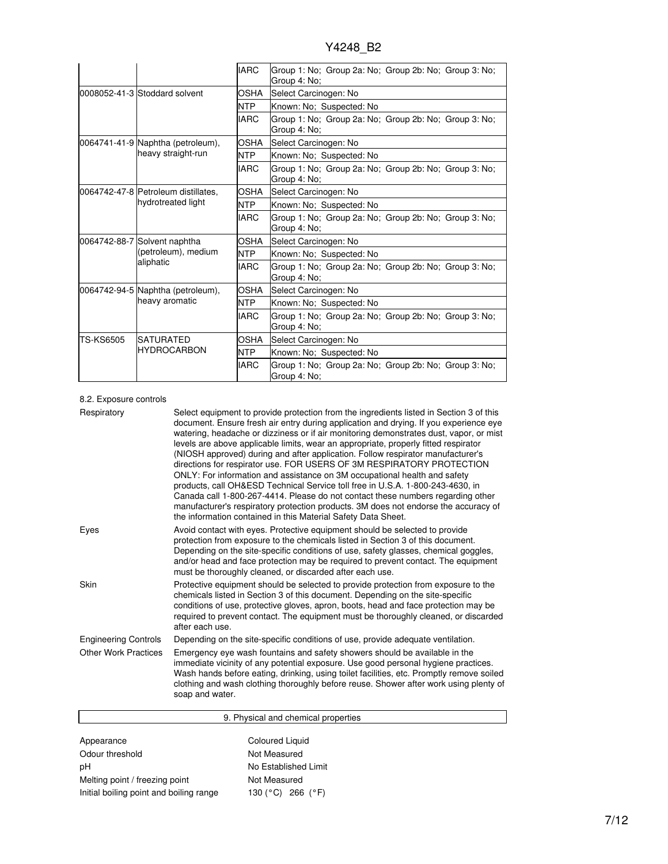|                  |                                                                  | <b>IARC</b> | Group 1: No: Group 2a: No: Group 2b: No: Group 3: No:<br>Group 4: No: |  |  |
|------------------|------------------------------------------------------------------|-------------|-----------------------------------------------------------------------|--|--|
|                  | 0008052-41-3 Stoddard solvent                                    | <b>OSHA</b> | Select Carcinogen: No                                                 |  |  |
|                  |                                                                  | <b>NTP</b>  | Known: No; Suspected: No                                              |  |  |
|                  |                                                                  | <b>IARC</b> | Group 1: No; Group 2a: No; Group 2b: No; Group 3: No;<br>Group 4: No: |  |  |
|                  | 0064741-41-9 Naphtha (petroleum),                                | OSHA        | Select Carcinogen: No                                                 |  |  |
|                  | heavy straight-run                                               | <b>NTP</b>  | Known: No; Suspected: No                                              |  |  |
|                  |                                                                  | <b>IARC</b> | Group 1: No; Group 2a: No; Group 2b: No; Group 3: No;<br>Group 4: No; |  |  |
|                  | l0064742-47-8 Petroleum distillates.<br>hydrotreated light       | OSHA        | Select Carcinogen: No                                                 |  |  |
|                  |                                                                  | <b>NTP</b>  | Known: No; Suspected: No                                              |  |  |
|                  |                                                                  | <b>IARC</b> | Group 1: No; Group 2a: No; Group 2b: No; Group 3: No;<br>Group 4: No; |  |  |
|                  | 0064742-88-7 Solvent naphtha<br>(petroleum), medium<br>aliphatic | OSHA        | Select Carcinogen: No                                                 |  |  |
|                  |                                                                  | NTP         | Known: No; Suspected: No                                              |  |  |
|                  |                                                                  | <b>IARC</b> | Group 1: No; Group 2a: No; Group 2b: No; Group 3: No;<br>Group 4: No; |  |  |
|                  | OSHA<br>0064742-94-5 Naphtha (petroleum),                        |             | Select Carcinogen: No                                                 |  |  |
|                  | heavy aromatic                                                   | <b>NTP</b>  | Known: No; Suspected: No                                              |  |  |
|                  |                                                                  | <b>IARC</b> | Group 1: No; Group 2a: No; Group 2b: No; Group 3: No;<br>Group 4: No: |  |  |
| <b>TS-KS6505</b> | <b>ISATURATED</b>                                                | <b>OSHA</b> | Select Carcinogen: No                                                 |  |  |
|                  | <b>IHYDROCARBON</b>                                              | <b>NTP</b>  | Known: No; Suspected: No                                              |  |  |
|                  |                                                                  | <b>IARC</b> | Group 1: No; Group 2a: No; Group 2b: No; Group 3: No;<br>Group 4: No: |  |  |

### 8.2. Exposure controls

| Respiratory                 | Select equipment to provide protection from the ingredients listed in Section 3 of this<br>document. Ensure fresh air entry during application and drying. If you experience eye<br>watering, headache or dizziness or if air monitoring demonstrates dust, vapor, or mist<br>levels are above applicable limits, wear an appropriate, properly fitted respirator<br>(NIOSH approved) during and after application. Follow respirator manufacturer's<br>directions for respirator use. FOR USERS OF 3M RESPIRATORY PROTECTION<br>ONLY: For information and assistance on 3M occupational health and safety<br>products, call OH&ESD Technical Service toll free in U.S.A. 1-800-243-4630, in<br>Canada call 1-800-267-4414. Please do not contact these numbers regarding other<br>manufacturer's respiratory protection products. 3M does not endorse the accuracy of<br>the information contained in this Material Safety Data Sheet. |
|-----------------------------|-----------------------------------------------------------------------------------------------------------------------------------------------------------------------------------------------------------------------------------------------------------------------------------------------------------------------------------------------------------------------------------------------------------------------------------------------------------------------------------------------------------------------------------------------------------------------------------------------------------------------------------------------------------------------------------------------------------------------------------------------------------------------------------------------------------------------------------------------------------------------------------------------------------------------------------------|
| Eyes                        | Avoid contact with eyes. Protective equipment should be selected to provide<br>protection from exposure to the chemicals listed in Section 3 of this document.<br>Depending on the site-specific conditions of use, safety glasses, chemical goggles,<br>and/or head and face protection may be required to prevent contact. The equipment<br>must be thoroughly cleaned, or discarded after each use.                                                                                                                                                                                                                                                                                                                                                                                                                                                                                                                                  |
| Skin                        | Protective equipment should be selected to provide protection from exposure to the<br>chemicals listed in Section 3 of this document. Depending on the site-specific<br>conditions of use, protective gloves, apron, boots, head and face protection may be<br>required to prevent contact. The equipment must be thoroughly cleaned, or discarded<br>after each use.                                                                                                                                                                                                                                                                                                                                                                                                                                                                                                                                                                   |
| <b>Engineering Controls</b> | Depending on the site-specific conditions of use, provide adequate ventilation.                                                                                                                                                                                                                                                                                                                                                                                                                                                                                                                                                                                                                                                                                                                                                                                                                                                         |
| <b>Other Work Practices</b> | Emergency eye wash fountains and safety showers should be available in the<br>immediate vicinity of any potential exposure. Use good personal hygiene practices.<br>Wash hands before eating, drinking, using toilet facilities, etc. Promptly remove soiled<br>clothing and wash clothing thoroughly before reuse. Shower after work using plenty of<br>soap and water.                                                                                                                                                                                                                                                                                                                                                                                                                                                                                                                                                                |

|                                         | 9. Physical and chemical properties |  |
|-----------------------------------------|-------------------------------------|--|
|                                         |                                     |  |
| Appearance                              | Coloured Liquid                     |  |
| Odour threshold                         | Not Measured                        |  |
| рH                                      | No Established Limit                |  |
| Melting point / freezing point          | Not Measured                        |  |
| Initial boiling point and boiling range | 266 $(^{\circ}F)$<br>130 (°C)       |  |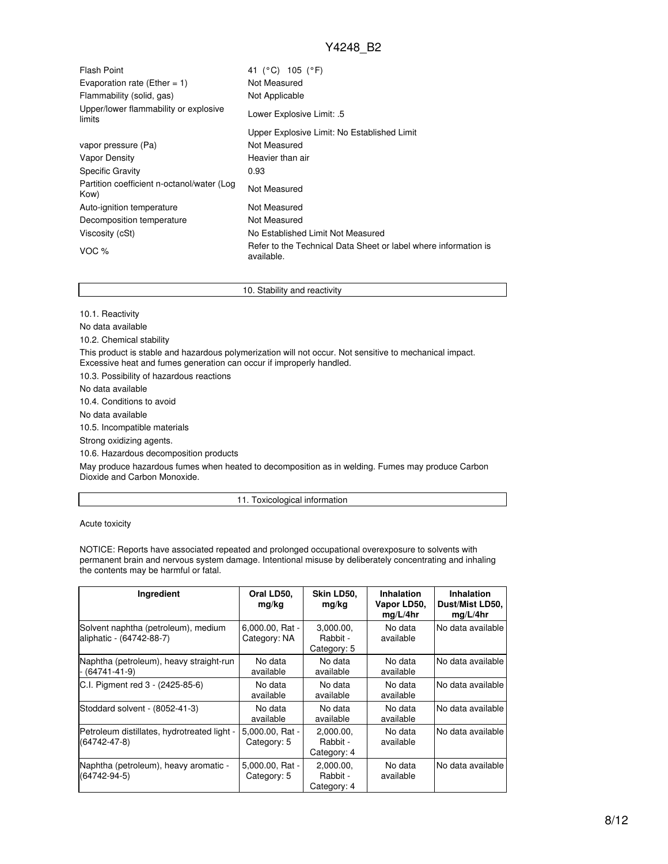| <b>Flash Point</b>                                 | 41 (°C) 105 (°F)                                                              |
|----------------------------------------------------|-------------------------------------------------------------------------------|
| Evaporation rate (Ether = 1)                       | Not Measured                                                                  |
| Flammability (solid, gas)                          | Not Applicable                                                                |
| Upper/lower flammability or explosive<br>limits    | Lower Explosive Limit: .5                                                     |
|                                                    | Upper Explosive Limit: No Established Limit                                   |
| vapor pressure (Pa)                                | Not Measured                                                                  |
| Vapor Density                                      | Heavier than air                                                              |
| <b>Specific Gravity</b>                            | 0.93                                                                          |
| Partition coefficient n-octanol/water (Log<br>Kow) | Not Measured                                                                  |
| Auto-ignition temperature                          | Not Measured                                                                  |
| Decomposition temperature                          | Not Measured                                                                  |
| Viscosity (cSt)                                    | No Established Limit Not Measured                                             |
| VOC $%$                                            | Refer to the Technical Data Sheet or label where information is<br>available. |

10. Stability and reactivity

10.1. Reactivity

No data available

10.2. Chemical stability

This product is stable and hazardous polymerization will not occur. Not sensitive to mechanical impact.

Excessive heat and fumes generation can occur if improperly handled.

10.3. Possibility of hazardous reactions

No data available

10.4. Conditions to avoid

No data available

10.5. Incompatible materials

Strong oxidizing agents.

10.6. Hazardous decomposition products

May produce hazardous fumes when heated to decomposition as in welding. Fumes may produce Carbon Dioxide and Carbon Monoxide.

11. Toxicological information

Acute toxicity

NOTICE: Reports have associated repeated and prolonged occupational overexposure to solvents with permanent brain and nervous system damage. Intentional misuse by deliberately concentrating and inhaling the contents may be harmful or fatal.

| Ingredient                                                        | Oral LD50,<br>mg/kg             | Skin LD50,<br>mg/kg                  | Inhalation<br>Vapor LD50,<br>mg/L/4hr | <b>Inhalation</b><br>Dust/Mist LD50,<br>mg/L/4hr |
|-------------------------------------------------------------------|---------------------------------|--------------------------------------|---------------------------------------|--------------------------------------------------|
| Solvent naphtha (petroleum), medium<br>aliphatic - (64742-88-7)   | 6,000.00, Rat -<br>Category: NA | 3,000.00,<br>Rabbit -<br>Category: 5 | No data<br>available                  | No data available                                |
| Naphtha (petroleum), heavy straight-run<br>- (64741-41-9)         | No data<br>available            | No data<br>available                 | No data<br>available                  | No data available                                |
| C.I. Pigment red 3 - (2425-85-6)                                  | No data<br>available            | No data<br>available                 | No data<br>available                  | No data available                                |
| Stoddard solvent - (8052-41-3)                                    | No data<br>available            | No data<br>available                 | No data<br>available                  | No data available                                |
| Petroleum distillates, hydrotreated light -<br>$(64742 - 47 - 8)$ | 5,000.00, Rat -<br>Category: 5  | 2.000.00.<br>Rabbit -<br>Category: 4 | No data<br>available                  | No data available                                |
| Naphtha (petroleum), heavy aromatic -<br>$(64742 - 94 - 5)$       | 5,000.00, Rat -<br>Category: 5  | 2,000.00,<br>Rabbit -<br>Category: 4 | No data<br>available                  | No data available                                |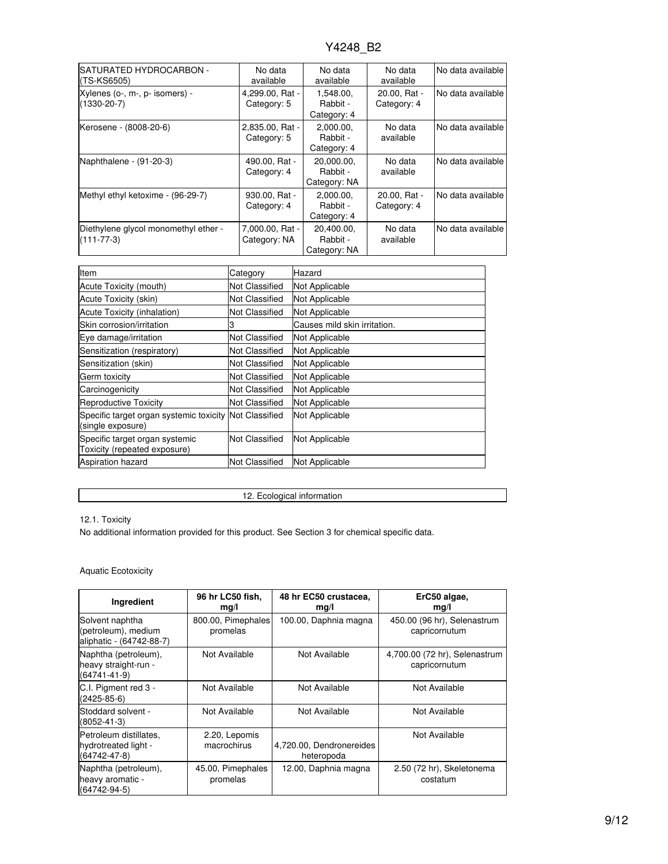| SATURATED HYDROCARBON -<br>(TS-KS6505)                   | No data<br>available            | No data<br>available                   | No data<br>available        | No data available  |
|----------------------------------------------------------|---------------------------------|----------------------------------------|-----------------------------|--------------------|
| Xylenes (o-, m-, p- isomers) -<br>$(1330 - 20 - 7)$      | 4,299.00, Rat -<br>Category: 5  | 1,548.00,<br>Rabbit -<br>Category: 4   | 20.00, Rat -<br>Category: 4 | No data available  |
| Kerosene - (8008-20-6)                                   | 2,835.00, Rat -<br>Category: 5  | 2,000.00,<br>Rabbit -<br>Category: 4   | No data<br>available        | No data available  |
| Naphthalene - (91-20-3)                                  | 490.00, Rat -<br>Category: 4    | 20,000.00,<br>Rabbit -<br>Category: NA | No data<br>available        | No data available  |
| Methyl ethyl ketoxime - (96-29-7)                        | 930.00, Rat -<br>Category: 4    | 2.000.00.<br>Rabbit -<br>Category: 4   | 20.00. Rat -<br>Category: 4 | No data available  |
| Diethylene glycol monomethyl ether -<br>$(111 - 77 - 3)$ | 7,000.00, Rat -<br>Category: NA | 20.400.00.<br>Rabbit -<br>Category: NA | No data<br>available        | INo data available |

| Item                                                                        | Category              | Hazard                       |
|-----------------------------------------------------------------------------|-----------------------|------------------------------|
| Acute Toxicity (mouth)                                                      | Not Classified        | Not Applicable               |
| Acute Toxicity (skin)                                                       | Not Classified        | Not Applicable               |
| Acute Toxicity (inhalation)                                                 | Not Classified        | Not Applicable               |
| Skin corrosion/irritation                                                   | 3                     | Causes mild skin irritation. |
| Eye damage/irritation                                                       | Not Classified        | Not Applicable               |
| Sensitization (respiratory)                                                 | Not Classified        | Not Applicable               |
| Sensitization (skin)                                                        | Not Classified        | Not Applicable               |
| Germ toxicity                                                               | Not Classified        | Not Applicable               |
| Carcinogenicity                                                             | Not Classified        | Not Applicable               |
| Reproductive Toxicity                                                       | <b>Not Classified</b> | <b>Not Applicable</b>        |
| Specific target organ systemic toxicity Not Classified<br>(single exposure) |                       | Not Applicable               |
| Specific target organ systemic<br>Toxicity (repeated exposure)              | <b>Not Classified</b> | Not Applicable               |
| <b>Aspiration hazard</b>                                                    | <b>Not Classified</b> | Not Applicable               |

12. Ecological information

## 12.1. Toxicity

No additional information provided for this product. See Section 3 for chemical specific data.

## Aquatic Ecotoxicity

| Ingredient                                                           | 96 hr LC50 fish,<br>mg/l       | 48 hr EC50 crustacea,<br>mg/l          | ErC50 algae,<br>mg/l                           |
|----------------------------------------------------------------------|--------------------------------|----------------------------------------|------------------------------------------------|
| Solvent naphtha<br>(petroleum), medium<br>aliphatic - (64742-88-7)   | 800.00, Pimephales<br>promelas | 100.00, Daphnia magna                  | 450.00 (96 hr), Selenastrum<br>capricornutum   |
| Naphtha (petroleum),<br>heavy straight-run -<br>$(64741 - 41 - 9)$   | Not Available                  | Not Available                          | 4,700.00 (72 hr), Selenastrum<br>capricornutum |
| C.I. Pigment red 3 -<br>$(2425 - 85 - 6)$                            | Not Available                  | Not Available                          | Not Available                                  |
| Stoddard solvent -<br>$(8052 - 41 - 3)$                              | Not Available                  | Not Available                          | Not Available                                  |
| Petroleum distillates,<br>hydrotreated light -<br>$(64742 - 47 - 8)$ | 2.20, Lepomis<br>macrochirus   | 4,720.00, Dendronereides<br>heteropoda | Not Available                                  |
| Naphtha (petroleum),<br>heavy aromatic -<br>$(64742 - 94 - 5)$       | 45.00, Pimephales<br>promelas  | 12.00, Daphnia magna                   | 2.50 (72 hr), Skeletonema<br>costatum          |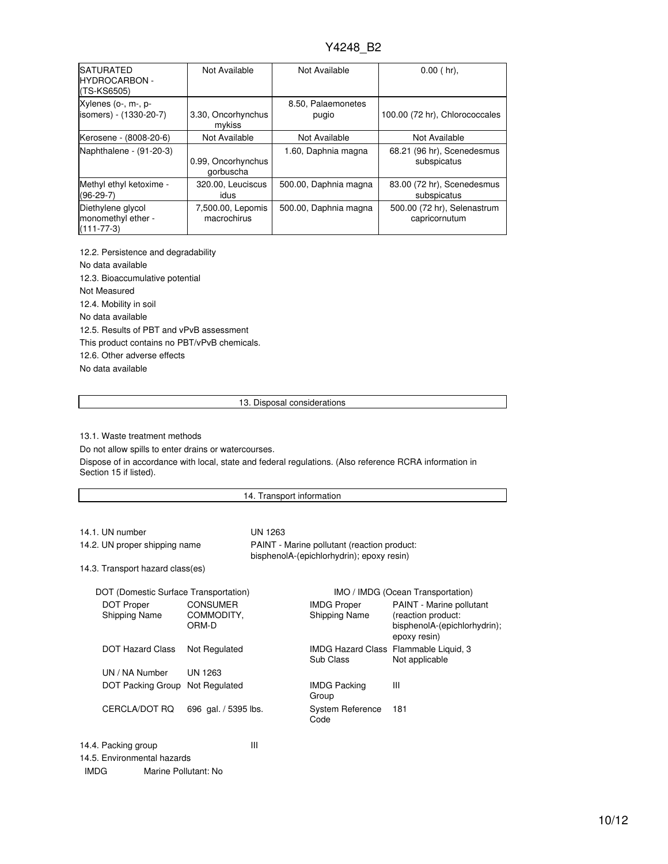| <b>SATURATED</b><br><b>HYDROCARBON -</b><br>(TS-KS6505)     | Not Available                    | Not Available               | $0.00$ (hr),                                 |
|-------------------------------------------------------------|----------------------------------|-----------------------------|----------------------------------------------|
| Xylenes (o-, m-, p-<br>isomers) - (1330-20-7)               | 3.30, Oncorhynchus<br>mykiss     | 8.50, Palaemonetes<br>pugio | 100.00 (72 hr), Chlorococcales               |
| Kerosene - (8008-20-6)                                      | Not Available                    | Not Available               | Not Available                                |
| Naphthalene - (91-20-3)                                     | 0.99, Oncorhynchus<br>gorbuscha  | 1.60, Daphnia magna         | 68.21 (96 hr), Scenedesmus<br>subspicatus    |
| Methyl ethyl ketoxime -<br>$(96-29-7)$                      | 320.00, Leuciscus<br>idus        | 500.00, Daphnia magna       | 83.00 (72 hr), Scenedesmus<br>subspicatus    |
| Diethylene glycol<br>monomethyl ether -<br>$(111 - 77 - 3)$ | 7,500.00, Lepomis<br>macrochirus | 500.00, Daphnia magna       | 500.00 (72 hr), Selenastrum<br>capricornutum |

12.2. Persistence and degradability No data available 12.3. Bioaccumulative potential Not Measured 12.4. Mobility in soil No data available 12.5. Results of PBT and vPvB assessment This product contains no PBT/vPvB chemicals. 12.6. Other adverse effects No data available

#### 13. Disposal considerations

13.1. Waste treatment methods

Do not allow spills to enter drains or watercourses.

Dispose of in accordance with local, state and federal regulations. (Also reference RCRA information in Section 15 if listed).

### 14. Transport information

| 14.1. UN number                  | UN 1263                                                                                  |
|----------------------------------|------------------------------------------------------------------------------------------|
| 14.2. UN proper shipping name    | PAINT - Marine pollutant (reaction product:<br>bisphenolA-(epichlorhydrin); epoxy resin) |
| 14.3. Transport hazard class(es) |                                                                                          |

| DOT (Domestic Surface Transportation) |                                        |                                     | IMO / IMDG (Ocean Transportation)                                                              |
|---------------------------------------|----------------------------------------|-------------------------------------|------------------------------------------------------------------------------------------------|
| DOT Proper<br>Shipping Name           | <b>CONSUMER</b><br>COMMODITY.<br>ORM-D | <b>IMDG Proper</b><br>Shipping Name | PAINT - Marine pollutant<br>(reaction product:<br>bisphenolA-(epichlorhydrin);<br>epoxy resin) |
| DOT Hazard Class                      | Not Regulated                          | Sub Class                           | IMDG Hazard Class Flammable Liquid, 3<br>Not applicable                                        |
| UN / NA Number                        | UN 1263                                |                                     |                                                                                                |
| DOT Packing Group Not Regulated       |                                        | <b>IMDG Packing</b><br>Group        | Ш                                                                                              |
| CERCLA/DOT RQ                         | 696 gal. / 5395 lbs.                   | System Reference<br>Code            | 181                                                                                            |

14.4. Packing group III

14.5. Environmental hazards

IMDG Marine Pollutant: No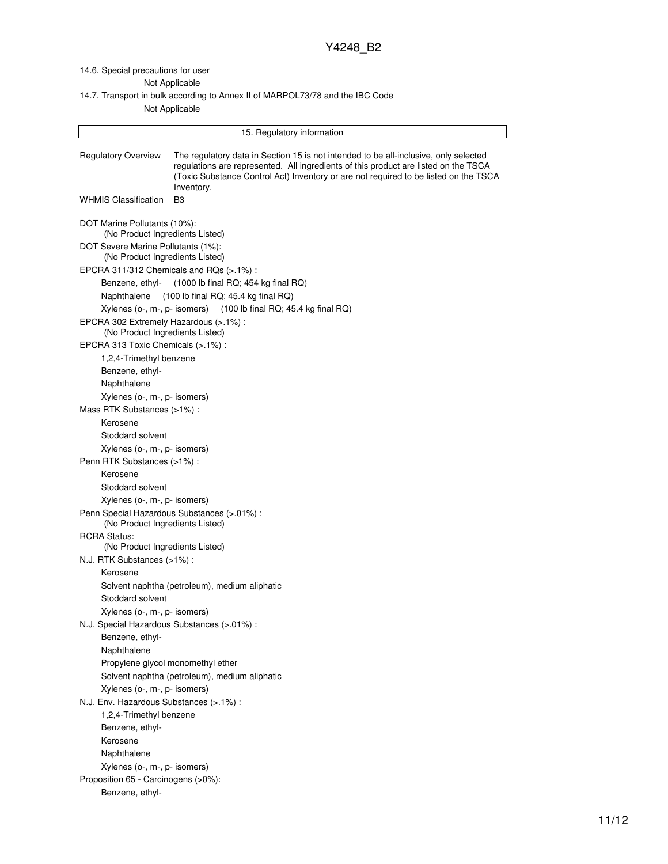14.6. Special precautions for user

Not Applicable

14.7. Transport in bulk according to Annex II of MARPOL73/78 and the IBC Code

Not Applicable

|                                                                       | 15. Regulatory information                                                                                                                                                                                                                                                        |
|-----------------------------------------------------------------------|-----------------------------------------------------------------------------------------------------------------------------------------------------------------------------------------------------------------------------------------------------------------------------------|
| <b>Regulatory Overview</b>                                            | The regulatory data in Section 15 is not intended to be all-inclusive, only selected<br>regulations are represented. All ingredients of this product are listed on the TSCA<br>(Toxic Substance Control Act) Inventory or are not required to be listed on the TSCA<br>Inventory. |
| <b>WHMIS Classification</b>                                           | B3                                                                                                                                                                                                                                                                                |
| DOT Marine Pollutants (10%):<br>(No Product Ingredients Listed)       |                                                                                                                                                                                                                                                                                   |
| DOT Severe Marine Pollutants (1%):<br>(No Product Ingredients Listed) |                                                                                                                                                                                                                                                                                   |
|                                                                       | EPCRA 311/312 Chemicals and RQs (>.1%):                                                                                                                                                                                                                                           |
| Benzene, ethyl-                                                       | (1000 lb final RQ; 454 kg final RQ)                                                                                                                                                                                                                                               |
| Naphthalene                                                           | $(100$ lb final RQ; 45.4 kg final RQ)                                                                                                                                                                                                                                             |
|                                                                       | Xylenes (o-, m-, p- isomers) (100 lb final RQ; 45.4 kg final RQ)                                                                                                                                                                                                                  |
| EPCRA 302 Extremely Hazardous (>.1%) :                                |                                                                                                                                                                                                                                                                                   |
| (No Product Ingredients Listed)                                       |                                                                                                                                                                                                                                                                                   |
| EPCRA 313 Toxic Chemicals (>.1%) :                                    |                                                                                                                                                                                                                                                                                   |
| 1,2,4-Trimethyl benzene                                               |                                                                                                                                                                                                                                                                                   |
| Benzene, ethyl-                                                       |                                                                                                                                                                                                                                                                                   |
| Naphthalene                                                           |                                                                                                                                                                                                                                                                                   |
| Xylenes (o-, m-, p- isomers)                                          |                                                                                                                                                                                                                                                                                   |
| Mass RTK Substances (>1%):                                            |                                                                                                                                                                                                                                                                                   |
| Kerosene                                                              |                                                                                                                                                                                                                                                                                   |
| Stoddard solvent                                                      |                                                                                                                                                                                                                                                                                   |
| Xylenes (o-, m-, p- isomers)                                          |                                                                                                                                                                                                                                                                                   |
| Penn RTK Substances (>1%) :                                           |                                                                                                                                                                                                                                                                                   |
| Kerosene                                                              |                                                                                                                                                                                                                                                                                   |
| Stoddard solvent                                                      |                                                                                                                                                                                                                                                                                   |
| Xylenes (o-, m-, p- isomers)                                          |                                                                                                                                                                                                                                                                                   |
| (No Product Ingredients Listed)                                       | Penn Special Hazardous Substances (>.01%) :                                                                                                                                                                                                                                       |
| <b>RCRA Status:</b>                                                   |                                                                                                                                                                                                                                                                                   |
| (No Product Ingredients Listed)                                       |                                                                                                                                                                                                                                                                                   |
| N.J. RTK Substances (>1%):                                            |                                                                                                                                                                                                                                                                                   |
| Kerosene                                                              |                                                                                                                                                                                                                                                                                   |
|                                                                       | Solvent naphtha (petroleum), medium aliphatic                                                                                                                                                                                                                                     |
| Stoddard solvent                                                      |                                                                                                                                                                                                                                                                                   |
| Xylenes (o-, m-, p- isomers)                                          |                                                                                                                                                                                                                                                                                   |
|                                                                       | N.J. Special Hazardous Substances (>.01%) :                                                                                                                                                                                                                                       |
| Benzene, ethyl-                                                       |                                                                                                                                                                                                                                                                                   |
| Naphthalene                                                           |                                                                                                                                                                                                                                                                                   |
|                                                                       | Propylene glycol monomethyl ether                                                                                                                                                                                                                                                 |
|                                                                       | Solvent naphtha (petroleum), medium aliphatic                                                                                                                                                                                                                                     |
| Xylenes (o-, m-, p- isomers)                                          |                                                                                                                                                                                                                                                                                   |
| N.J. Env. Hazardous Substances (>.1%) :                               |                                                                                                                                                                                                                                                                                   |
| 1,2,4-Trimethyl benzene                                               |                                                                                                                                                                                                                                                                                   |
| Benzene, ethyl-                                                       |                                                                                                                                                                                                                                                                                   |
| Kerosene                                                              |                                                                                                                                                                                                                                                                                   |
| Naphthalene                                                           |                                                                                                                                                                                                                                                                                   |
| Xylenes (o-, m-, p- isomers)                                          |                                                                                                                                                                                                                                                                                   |
| Proposition 65 - Carcinogens (>0%):                                   |                                                                                                                                                                                                                                                                                   |
| Benzene, ethyl-                                                       |                                                                                                                                                                                                                                                                                   |